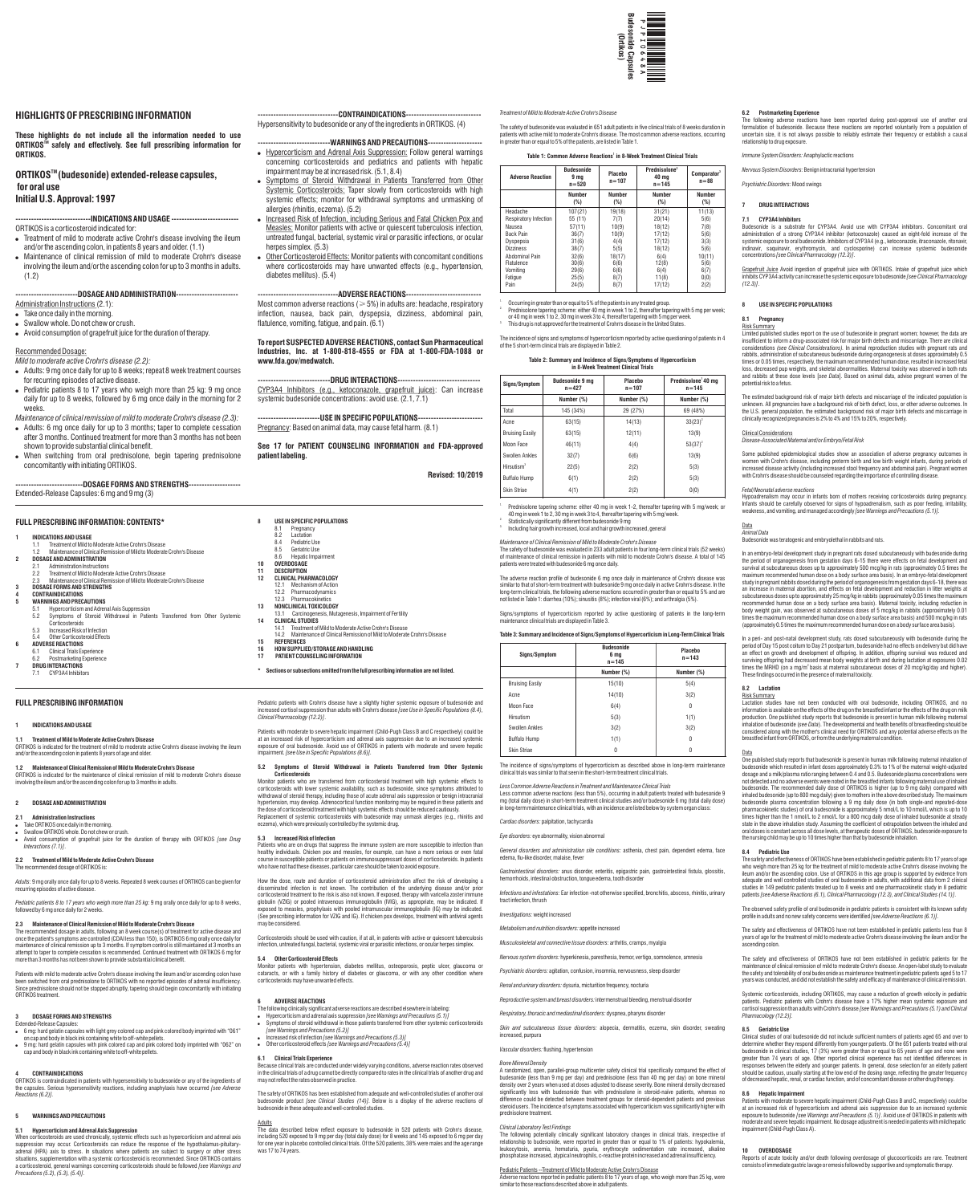

# **HIGHLIGHTS OF PRESCRIBING INFORMATION**

**These highlights do not include all the information needed to use ORTIKOS<sup>™</sup> safely and effectively. See full prescribing information for ORTIKOS.**

**ORTIKOS™ (budesonide) extended-release capsules, for oral use Initial U.S. Approval: 1997**

# **-----------------------------INDICATIONS AND USAGE --------------------------**

ORTIKOS is a corticosteroid indicated for:

- Administration Instructions (2.1):
- Take once daily in the morning.
- Swallow whole. Do not chew or crush.
- ! Avoid consumption of grapefruit juice for the duration of therapy.
- ! Treatment of mild to moderate active Crohn's disease involving the ileum and/or the ascending colon, in patients 8 years and older. (1.1)
- ! Maintenance of clinical remission of mild to moderate Crohn's disease involving the ileum and/or the ascending colon for up to 3 months in adults. (1.2)

# **------------------------DOSAGE AND ADMINISTRATION------------------------**

# Recommended Dosage:

--CONTRAINDICATIONS----Hypersensitivity to budesonide or any of the ingredients in ORTIKOS. (4)

# ---WARNINGS AND PRECAUTIONS---

- *Mild to moderate active Crohn's disease (2.2):*  ! Adults: 9 mg once daily for up to 8 weeks; repeat 8 week treatment courses
- for recurring episodes of active disease.
- ! Pediatric patients 8 to 17 years who weigh more than 25 kg: 9 mg once daily for up to 8 weeks, followed by 6 mg once daily in the morning for 2 weeks.
- *Maintenance of clinical remission of mild to moderate Crohn's disease (2.3):* • Adults: 6 mg once daily for up to 3 months; taper to complete cessation
- after 3 months. Continued treatment for more than 3 months has not been shown to provide substantial clinical benefit.
- . When switching from oral prednisolone, begin tapering prednisolone concomitantly with initiating ORTIKOS.
- . Hypercorticism and Adrenal Axis Suppression: Follow general warnings concerning corticosteroids and pediatrics and patients with hepatic impairment may be at increased risk. (5.1, 8.4)
- . Symptoms of Steroid Withdrawal in Patients Transferred from Other Systemic Corticosteroids: Taper slowly from corticosteroids with high systemic effects; monitor for withdrawal symptoms and unmasking of allergies (rhinitis, eczema). (5.2)
- Increased Risk of Infection, including Serious and Fatal Chicken Pox and Measles: Monitor patients with active or quiescent tuberculosis infection, untreated fungal, bacterial, systemic viral or parasitic infections, or ocular herpes simplex. (5.3)
- Other Corticosteroid Effects: Monitor patients with concomitant conditions where corticosteroids may have unwanted effects (e.g., hypertension, diabetes mellitus). (5.4)

Most common adverse reactions ( $\geqslant$  5%) in adults are: headache, respiratory infection, nausea, back pain, dyspepsia, dizziness, abdominal pain, flatulence, vomiting, fatigue, and pain. (6.1)

# **--------------------------DOSAGE FORMS AND STRENGTHS--------------------**

Extended-Release Capsules: 6 mg and 9 mg (3)

8.1 Pregnancy 8.2 Lactation 8.4 Pediatric Use<br>8.5 Geriatric Use 8.5 Geriatric Use<br>8.6 Hepatic Impa Hepatic Impair

# **-------------------------------ADVERSE REACTIONS-----------------------------**

- Swallow ORTIKOS whole. Do not chew or crush. ! Avoid consumption of grapefruit juice for the duration of therapy with ORTIKOS *[see Drug Interactions (7.1)]*.
- **2.2 Treatment of Mild to Moderate Active Crohn's Disease**  The recommended dosage of ORTIKOS is:

The recommended dosage in adults, following an 8 week course(s) of treatment for active disease and once the patient's symptoms are controlled (CDAI less than 150), is ORTIKOS 6 mg orally once daily for maintenance of clinical remission up to 3 months. If symptom control is still maintained at 3 months an attempt to taper to complete cessation is recommended. Continued treatment with ORTIKOS 6 mg for raper to complete cessation is recommended: committed treame<br>3 months has not been shown to provide substantial clinical benefit

**To report SUSPECTED ADVERSE REACTIONS, contact Sun Pharmaceutical Industries, Inc. at 1-800-818-4555 or FDA at 1-800-FDA-1088 or www.fda.gov/medwatch.**

**----------------------------DRUG INTERACTIONS--------------------------------** CYP3A4 Inhibitors (e.g., ketoconazole, grapefruit juice): Can increase systemic budesonide concentrations: avoid use. (2.1, 7.1)

**------------------------USE IN SPECIFIC POPULATIONS-------------------------** Pregnancy: Based on animal data, may cause fetal harm. (8.1)

**See 17 for PATIENT COUNSELING INFORMATION and FDA-approved patient labeling.**

**Revised: 10/2019**

# **FULL PRESCRIBING INFORMATION: CONTENTS\***

### **1 INDICATIONS AND USAGE**

- 1.1 Treatment of Mild to Moderate Active Crohn's Disease 1.2 Maintenance of Clinical Remission of Mild to Moderate Crohn's Disease
- **2 DOSAGE AND ADMINISTRATION**
- 2.1 Administration Instructions<br>2.2 Treatment of Mild to Modera 2.2 Treatment of Mild to Moderate Active Crohn's Disease
- 2.3 Maintenance of Clinical Remission of Mild to Moderate Crohn's Disease **3 DOSAGE FORMS AND STRENGTHS**

# **4 CONTRAINDICATIONS**

Pediatric patients with Crohn's disease have a slightly higher systemic exposure of budesonide and increased cortisol suppression than adults with Crohn's disease *[see Use in Specific Populations (8.4),* 

- **5 WARNINGS AND PRECAUTIONS** 5.1 Hypercorticism and Adrenal Axis Suppression<br>5.2 Symptoms of Steroid Withdrawal in Patie
- Symptoms of Steroid Withdrawal in Patients Transferred from Other Systemic Corticosteroids
- 5.3 Increased Risk of Infection
- 5.4 Other Corticosteroid Effects **6 ADVERSE REACTIONS**
- **Clinical Trials Experience**
- 6.2 Postmarketing Experience **7 DRUG INTERACTIONS**
- 7.1 CYP3A4 Inhibitors
- 

**8 USE IN SPECIFIC POPULATIONS**

**10 OVERDOSAGE 11 DESCRIPTION 12 CLINICAL PHARMACOLOGY** 12.1 Mechanism of Action 12.2 Pharmacodynamics 12.3 Pharmacokinetics **13 NONCLINICAL TOXICOLOGY**

13.1 Carcinogenesis, Mutagenesis, Impairment of Fertility

**14 CLINICAL STUDIES**

14.1 Treatment of Mild to Moderate Active Crohn's Disease 14.2 Maintenance of Clinical Remission of Mild to Moderate Crohn's Disease

**15 REFERENCES**

Patients who are on drugs that suppress the immune system are more susceptible to infection than healthy individuals. Chicken pox and measles, for example, can have a more serious or even fatal course in susceptible patients or patients on immunosuppressant doses of corticosteroids. In patients

**16 HOW SUPPLIED/STORAGE AND HANDLING 17 PATIENT COUNSELING INFORMATION**

**\* Sections or subsections omitted from the full prescribing information are not listed.**

# **FULL PRESCRIBING INFORMATION**

# **1 INDICATIONS AND USAGE**

**1.1 Treatment of Mild to Moderate Active Crohn's Disease** ORTIKOS is indicated for the treatment of mild to moderate active Crohn's disease involving the ileum and/or the ascending colon in patients 8 years of age and older.

# **1.2 Maintenance of Clinical Remission of Mild to Moderate Crohn's Disease**

ORTIKOS is indicated for the maintenance of clinical remission of mild to moderate Crohn's disease involving the ileum and/or the ascending colon for up to 3 months in adults.

# **2 DOSAGE AND ADMINISTRATION**

**2.1 Administration Instructions** 

# . Take ORTIKOS once daily in the morning.

*Adults*: 9 mg orally once daily for up to 8 weeks. Repeated 8 week courses of ORTIKOS can be given for

recurring episodes of active disease.

*Pediatric patients 8 to 17 years who weigh more than 25 kg:* 9 mg orally once daily for up to 8 weeks, followed by 6 mg once daily for 2 weeks.

# **2.3 Maintenance of Clinical Remission of Mild to Moderate Crohn's Disease**

Patients with mild to moderate active Crohn's disease involving the ileum and/or ascending colon have been switched from oral prednisolone to ORTIKOS with no reported episodes of adrenal insufficiency. Since prednisolone should not be stopped abruptly, tapering should begin concomitantly with initiating ORTIKOS treatment.

# **3 DOSAGE FORMS AND STRENGTHS**

Extended-Release Capsules:

- ! 6 mg: hard gelatin capsules with light grey colored cap and pink colored body imprinted with "061" on cap and body in black ink containing white to off-white pellets.
- ! 9 mg: hard gelatin capsules with pink colored cap and pink colored body imprinted with "062" on cap and body in black ink containing white to off-white pellets.

#### **4 CONTRAINDICATIONS**

ORTIKOS is contraindicated in patients with hypersensitivity to budesonide or any of the ingredients of the capsules. Serious hypersensitivity reactions, including anaphylaxis have occurred *[see Adverse Reactions (6.2)].*

# **5 WARNINGS AND PRECAUTIONS**

**5.1 Hypercorticism and Adrenal Axis Suppression** When corticosteroids are used chronically, systemic effects such as hypercorticism and adrenal axis suppression may occur. Corticosteroids can reduce the response of the hypothalamus-pituitaryadrenal (HPA) axis to stress. In situations where patients are subject to surgery or other stress situations, supplementation with a systemic corticosteroid is recommended. Since ORTIKOS contains a corticosteroid, general warnings concerning corticosteroids should be followed *[see Warnings and Precautions (5.2), (5.3), (5.4)]*.

*Clinical Pharmacology (12.2)]*.

Patients with moderate to severe hepatic impairment (Child-Pugh Class B and C respectively) could be at an increased risk of hypercorticism and adrenal axis suppression due to an increased systemic exposure of oral budesonide. Avoid use of ORTIKOS in patients with moderate and severe hepatic

> *Clinical Laboratory Test Findings*<br>The following potentially clinically significant laboratory changes in clinical trials, irrespective of relationship to budesonide, were reported in greater than or equal to 1% of patients: hypokalemia anemia, hematuria, pyuria, erythrocyte sedimentation rate increased, alkaline phosphatase increased, atypical neutrophils, c-reactive protein increased and adrenal insufficiency.

impairment. *[see Use in Specific Populations (8.6)].*

**5.2 Symptoms of Steroid Withdrawal in Patients Transferred from Other Systemic** 

**Corticosteroids**

Monitor patients who are transferred from corticosteroid treatment with high systemic effects to corticosteroids with lower systemic availability, such as budesonide, since symptoms attributed to withdrawal of steroid therapy, including those of acute adrenal axis suppression or benign intracranial hypertension, may develop. Adrenocortical function monitoring may be required in these patients and the dose of corticosteroid treatment with high systemic effects should be reduced cautiously. Replacement of systemic corticosteroids with budesonide may unmask allergies (e.g., rhinitis and

eczema), which were previously controlled by the systemic drug.

**5.3 Increased Risk of Infection**

Limited published studies report on the use of budesonide in pregnant women; however, the data are insufficient to inform a drug-associated risk for major birth defects and miscarriage. There are clinical considerations *(see Clinical Considerations).* In animal reproduction studies with pregnant rats and rabbits, administration of subcutaneous budesonide during organogenesis at doses approximately 0.5 times or 0.05 times, respectively, the maximum recommended human dose, resulted in increased fetal loss, decreased pup weights, and skeletal abnormalities. Maternal toxicity was observed in both rats and rabbits at these dose levels [*see Data*]. Based on animal data, advise pregnant women of the potential risk to a fetus.

who have not had these diseases, particular care should be taken to avoid exposure.

How the dose, route and duration of corticosteroid administration affect the risk of developing a

Some published epidemiological studies show an association of adverse pregnancy outcomes in women with Crohn's disease, including preterm birth and low birth weight infants, during periods of increased disease activity (including increased stool frequency and abdominal pain). Pregnant women with Crohn's disease should be counseled regarding the importance of controlling disease.

disseminated infection is not known. The contribution of the underlying disease and/or prior corticosteroid treatment to the risk is also not known. If exposed, therapy with varicella zoster immune globulin (VZIG) or pooled intravenous immunoglobulin (IVIG), as appropriate, may be indicated. If<br>exposed to measles, prophylaxis with pooled intramuscular immunoglobulin (IG) may be indicated. (See prescribing information for VZIG and IG). If chicken pox develops, treatment with antiviral agents may be considered.

In an embryo-fetal development study in pregnant rats dosed subcutaneously with budesonide during the period of organogenesis from gestation days 6-15 there were effects on fetal development and survival at subcutaneous doses up to approximately 500 mcg/kg in rats (approximately 0.5 times the maximum recommended human dose on a body surface area basis). In an embryo-fetal development study in pregnant rabbits dosed during the period of organogenesis from gestation days 6-18, there was an increase in maternal abortion, and effects on fetal development and reduction in litter weights at subcutaneous doses up to approximately 25 mcg/kg in rabbits (approximately 0.05 times the maximum recommended human dose on a body surface area basis). Maternal toxicity, including reduction in body weight gain, was observed at subcutaneous doses of 5 mcg/kg in rabbits (approximately 0.01 times the maximum recommended human dose on a body surface area basis) and 500 mcg/kg in rats (approximately 0.5 times the maximum recommended human dose on a body surface area basis). In a peri- and post-natal development study, rats dosed subcutaneously with budesonide during the period of Day 15 post coitum to Day 21 postpartum, budesonide had no effects on delivery but did have an effect on growth and development of offspring. In addition, offspring survival was reduced and surviving offspring had decreased mean body weights at birth and during lactation at exposures 0.02<br>times the MRHD (on a mg/m<sup>2</sup> basis at maternal subcutaneous doses of 20 mcg/kg/day and higher).

Corticosteroids should be used with caution, if at all, in patients with active or quiescent tuberculosis infection, untreated fungal, bacterial, systemic viral or parasitic infections, or ocular herpes simplex.

#### **5.4 Other Corticosteroid Effects**

Monitor patients with hypertension, diabetes mellitus, osteoporosis, peptic ulcer, glaucoma or cataracts, or with a family history of diabetes or glaucoma, or with any other condition where corticosteroids may have unwanted effects.

#### **6 ADVERSE REACTIONS**

The following clinically significant adverse reactions are described elsewhere in labeling:

- ! Hypercorticism and adrenal axis suppression *[see Warnings and Precautions (5.1)]*
- Symptoms of steroid withdrawal in those patients transferred from other systemic corticosteroids *[see Warnings and Precautions (5.2)]*
- ! Increased risk of infection *[see Warnings and Precautions (5.3)]*
- ! Other corticosteroid effects *[see Warnings and Precautions (5.4)]*

#### **6.1 Clinical Trials Experience**

Because clinical trials are conducted under widely varying conditions, adverse reaction rates observed in the clinical trials of a drug cannot be directly compared to rates in the clinical trials of another drug and may not reflect the rates observed in practice.

The safety of ORTIKOS has been established from adequate and well-controlled studies of another oral budesonide product *[see Clinical Studies (14)]*. Below is a display of the adverse reactions of budesonide in these adequate and well-controlled studies.

#### Adults

The data described below reflect exposure to budesonide in 520 patients with Crohn's disease, including 520 exposed to 9 mg per day (total daily dose) for 8 weeks and 145 exposed to 6 mg per day for one year in placebo controlled clinical trials. Of the 520 patients, 38% were males and the age range was 17 to 74 years.

*Treatment of Mild to Moderate Active Crohn's Disease* 

The safety of budesonide was evaluated in 651 adult patients in five clinical trials of 8 weeks duration in patients with active mild to moderate Crohn's disease. The most common adverse reactions, occurring

**1** Table 1: Common Adverse Reactions<sup>1</sup> in 8-Week Treatment Clinical Trials

in greater than or equal to 5% of the patients, are listed in Table 1.

1. Occurring in greater than or equal to 5% of the patients in any treated group.

 $2\degree$  Prednisolone tapering scheme: either 40 mg in week 1 to 2, thereafter tapering with 5 mg per week; or 40 mg in week 3 to 4, thereafter tapering with 5 mg per week.

3. This drug is not approved for the treatment of Crohn's disease in the United States.

The incidence of signs and symptoms of hypercorticism reported by active questioning of patients in 4 of the 5 short-term clinical trials are displayed in Table 2.

### **Table 2: Summary and Incidence of Signs/Symptoms of Hypercorticism in 8-Week Treatment Clinical Trials**

1. Prednisolone tapering scheme: either 40 mg in week 1-2, thereafter tapering with 5 mg/week; or 40 mg in week 1 to 2, 30 mg in week 3 to 4, thereafter tapering with 5 mg/week. 2. Statistically significantly different from budesonide 9 mg

3. Including hair growth increased, local and hair growth increased, general

**Number (%)**

**Number (%)**

**Number (%)**

*Maintenance of Clinical Remission of Mild to Moderate Crohn's Disease* 

31(21)  $20(14)$ 

**Respiratory Infect** 55 (11) 7(7) Nausea Back Pain 57(11)  $36(7)$ 10(9) 10(9)

**Adverse Reaction** 

The safety of budesonide was evaluated in 233 adult patients in four long-term clinical trials (52 weeks) of maintenance of clinical remission in patients with mild to moderate Crohn's disease. A total of 145 patients were treated with budesonide 6 mg once daily.

The adverse reaction profile of budesonide 6 mg once daily in maintenance of Crohn's disease was similar to that of short-term treatment with budesonide 9 mg once daily in active Crohn's disease. In the long-term clinical trials, the following adverse reactions occurred in greater than or equal to 5% and are not listed in Table 1: diarrhea (10%); sinusitis (8%); infection viral (6%); and arthralgia (5%).

Signs/symptoms of hypercorticism reported by active questioning of patients in the long-term maintenance clinical trials are displayed in Table 3.

#### **Table 3: Summary and Incidence of Signs/Symptoms of Hypercorticism in Long-Term Clinical Trials**

The incidence of signs/symptoms of hypercorticism as described above in long-term maintenance clinical trials was similar to that seen in the short-term treatment clinical trials.

#### *Less Common Adverse Reactions in Treatment and Maintenance Clinical Trials*

Less common adverse reactions (less than 5%), occurring in adult patients treated with budesonide 9 mg (total daily dose) in short-term treatment clinical studies and/or budesonide 6 mg (total daily dose) in long-term maintenance clinical trials, with an incidence are listed below by system organ class:

*Cardiac disorders:* palpitation, tachycardia

*Eye disorders:* eye abnormality, vision abnormal

*General disorders and administration site conditions:* asthenia, chest pain, dependent edema, face edema, flu-like disorder, malaise, fever

*Gastrointestinal disorders:* anus disorder, enteritis, epigastric pain, gastrointestinal fistula, glossitis, hemorrhoids, intestinal obstruction, tongue edema, tooth disorder

*Infections and infestations:* Ear infection -not otherwise specified, bronchitis, abscess, rhinitis, urinary tract infection, thrush

*Investigations:* weight increased

#### *Metabolism and nutrition disorders:* appetite increased

*Musculoskeletal and connective tissue disorders:* arthritis, cramps, myalgia

*Nervous system disorders:* hyperkinesia, paresthesia, tremor, vertigo, somnolence, amnesia

Psychiatric disorders: agitation, confusion, insomnia, nervousness, sleep disorde

*Renal and urinary disorders:* dysuria, micturition frequency, nocturia

*Reproductive system and breast disorders:* intermenstrual bleeding, menstrual disorder

*Respiratory, thoracic and mediastinal disorders:* dyspnea, pharynx disorder

*Skin and subcutaneous tissue disorders:* alopecia, dermatitis, eczema, skin disorder, sweating increased, purpura

*Vascular disorders:* flushing, hypertension

# *Bone Mineral Density*

A randomized, open, parallel-group multicenter safety clinical trial specifically compared the effect of budesonide (less than 9 mg per day) and prednisolone (less than 40 mg per day) on bone mineral density over 2 years when used at doses adjusted to disease severity. Bone mineral density decreased significantly less with budesonide than with prednisolone in steroid-naïve patients, whereas no difference could be detected between treatment groups for steroid-dependent patients and previous steroid users. The incidence of symptoms associated with hypercorticism was significantly higher with prednisolone treatment.

# Pediatric Patients --Treatment of Mild to Moderate Active Crohn's Disease

Adverse reactions reported in pediatric patients 8 to 17 years of age, who weigh more than 25 kg, were similar to those reactions described above in adult patients.

#### **6.2 Postmarketing Experience**

The following adverse reactions have been reported during post-approval use of another oral formulation of budesonide. Because these reactions are reported voluntarily from a population of uncertain size, it is not always possible to reliably estimate their frequency or establish a causal relationship to drug exposure.

*Immune System Disorders:* Anaphylactic reactions

*Nervous System Disorders:* Benign intracranial hypertension

*Psychiatric Disorders:* Mood swings

#### **7 DRUG INTERACTIONS**

#### **7.1 CYP3A4 Inhibitors**

Budesonide is a substrate for CYP3A4. Avoid use with CYP3A4 inhibitors. Concomitant oral administration of a strong CYP3A4 inhibitor (ketoconazole) caused an eight-fold increase of the systemic exposure to oral budesonide. Inhibitors of CYP3A4 (e.g., ketoconazole, itraconazole, ritonavir, indinavir, saquinavir, erythromycin, and cyclosporine) can increase systemic budesonide concentrations *[see Clinical Pharmacology (12.3)]*.

Grapefruit Juice Avoid ingestion of grapefruit juice with ORTIKOS. Intake of grapefruit juice which inhibits CYP3A4 activity can increase the systemic exposure to budesonide *[see Clinical Pharmacology (12.3)]*.

# **8 USE IN SPECIFIC POPULATIONS**

#### **8.1 Pregnancy** Risk Summary

The estimated background risk of major birth defects and miscarriage of the indicated population is unknown. All pregnancies have a background risk of birth defect, loss, or other adverse outcomes. In the U.S. general population, the estimated background risk of major birth defects and miscarriage in clinically recognized pregnancies is 2% to 4% and 15% to 20%, respectively.

#### Clinical Considerations *Disease-Associated Maternal and/or Embryo/Fetal Risk*

#### *Fetal/Neonatal adverse reactions*  Hypoadrenalism may occur in infants born of mothers receiving corticosteroids during pregnancy.

Infants should be carefully observed for signs of hypoadrenalism, such as poor feeding, irritability, weakness, and vomiting, and managed accordingly *[see Warnings and Precautions (5.1)].*

Data *Animal Data* 

Budesonide was teratogenic and embryolethal in rabbits and rats.

These findings occurred in the presence of maternal toxicity.

**8.2 Lactation** Risk Summary

**Data** 

Lactation studies have not been conducted with oral budesonide, including ORTIKOS, and no information is available on the effects of the drug on the breastfed infant or the effects of the drug on milk production. One published study reports that budesonide is present in human milk following maternal inhalation of budesonide (*see Data*). The developmental and health benefits of breastfeeding should be considered along with the mother's clinical need for ORTIKOS and any potential adverse effects on the breastfed infant from ORTIKOS, or from the underlying maternal condition.

One published study reports that budesonide is present in human milk following maternal inhalation of budesonide which resulted in infant doses approximately 0.3% to 1% of the maternal weight-adjusted dosage and a milk/plasma ratio ranging between 0.4 and 0.5. Budesonide plasma concentrations were not detected and no adverse events were noted in the breastfed infants following maternal use of inhaled budesonide. The recommended daily dose of ORTIKOS is higher (up to 9 mg daily) compared with inhaled budesonide (up to 800 mcg daily) given to mothers in the above described study. The maximum<br>budesonide plasma concentration following a 9 mg daily dose (in both single-and repeated-dose<br>pharmacokinetic stu times higher than the 1 nmol/L to 2 nmol/L for a 800 mcg daily dose of inhaled budesonide at steady state in the above inhalation study. Assuming the coefficient of extrapolation between the inhaled and oral doses is constant across all dose levels, at therapeutic doses of ORTIKOS, budesonide exposure to

the nursing child may be up to 10 times higher than that by budesonide inhalation.

**8.4 Pediatric Use**

The safety and effectiveness of ORTIKOS have been established in pediatric patients 8 to 17 years of age who weigh more than 25 kg for the treatment of mild to moderate active Crohn's disease involving the ileum and/or the ascending colon. Use of ORTIKOS in this age group is supported by evidence from

adequate and well controlled studies of oral budesonide in adults, with additional data from 2 clinical tudies in 149 pediatric patients treated up to 8 weeks and one pharmac patients *[see Adverse Reactions (6.1), Clinical Pharmacology (12.3), and Clinical Studies (14.1)]*.

The observed safety profile of oral budesonide in pediatric patients is consistent with its known safety profile in adults and no new safety concerns were identified *[see Adverse Reactions (6.1)]*.

The safety and effectiveness of ORTIKOS have not been established in pediatric patients less than 8 years of age for the treatment of mild to moderate active Crohn's disease involving the ileum and/or the ascending colon.

The safety and effectiveness of ORTIKOS have not been established in pediatric patients for the maintenance of clinical remission of mild to moderate Crohn's disease. An open-label study to evaluate the safety and tolerability of oral budesonide as maintenance treatment in pediatric patients aged 5 to 17 years was conducted, and did not establish the safety and efficacy of maintenance of clinical remission.

Systemic corticosteroids, including ORTIKOS, may cause a reduction of growth velocity in pediatric patients. Pediatric patients with Crohn's disease have a 17% higher mean systemic exposure and cortisol suppression than adults with Crohn's disease *[see Warnings and Precautions (5.1) and Clinical Pharmacology (12.2)].* 

#### **8.5 Geriatric Use**

Clinical studies of oral budesonide did not include sufficient numbers of patients aged 65 and over to determine whether they respond differently from younger patients. Of the 651 patients treated with oral budesonide in clinical studies, 17 (3%) were greater than or equal to 65 years of age and none were greater than 74 years of age. Other reported clinical experience has not identified differences in responses between the elderly and younger patients. In general, dose selection for an elderly patient should be cautious, usually starting at the low end of the dosing range, reflecting the greater frequency of decreased hepatic, renal, or cardiac function, and of concomitant disease or other drug therapy.

# **8.6 Hepatic Impairment**

Patients with moderate to severe hepatic impairment (Child-Pugh Class B and C, respectively) could be at an increased risk of hypercorticism and adrenal axis suppression due to an increased systemic exposure to budesonide *[see Warnings and Precautions (5.1)]*. Avoid use of ORTIKOS in patients with moderate and severe hepatic impairment. No dosage adjustment is needed in patients with mild hepatic impairment (Child-Pugh Class A).

#### **10 OVERDOSAGE**

Reports of acute toxicity and/or death following overdosage of glucocorticoids are rare. Treatment consists of immediate gastric lavage or emesis followed by supportive and symptomatic therapy.

**Budesonide 9 mg n=520**

**Placebo n=107**

**2 Prednisolone 40 mg n=145**

**3 Comparator n=88**

> **Number (%)**

Headache

107(21)

19(18)

11(13) 5(6)

18(12) 17(12)

7(8) 5(6)

| Dyspepsia        | 31(6) | 4(4)   | 17(12) | 3(3)   |
|------------------|-------|--------|--------|--------|
| <b>Dizziness</b> | 38(7) | 5(5)   | 18(12) | 5(6)   |
| Abdominal Pain   | 32(6) | 18(17) | 6(4)   | 10(11) |
| Flatulence       | 30(6) | 6(6)   | 12(8)  | 5(6)   |
| Vomitina         | 29(6) | 6(6)   | 6(4)   | 6(7)   |
| Fatigue          | 25(5) | 8(7)   | 11(8)  | 0(0)   |
| Pain             | 24(5) | 8(7)   | 17(12) | 2(2)   |

| Signs/Symptom          | <b>Budesonide 9 mg</b><br>$n = 427$ | Placebo<br>$n = 107$ | Prednisolone <sup>1</sup> 40 mg<br>$n = 145$ |  |
|------------------------|-------------------------------------|----------------------|----------------------------------------------|--|
|                        | Number (%)                          | Number (%)           | Number (%)                                   |  |
| Total                  | 145 (34%)                           | 29 (27%)             | 69 (48%)                                     |  |
| Acne                   | 63(15)                              | 14(13)               | $33(23)^2$                                   |  |
| <b>Bruising Easily</b> | 63(15)                              | 12(11)               | 13(9)                                        |  |
| Moon Face              | 46(11)                              | 4(4)                 | $53(37)^2$                                   |  |
| Swollen Ankles         | 32(7)                               | 6(6)                 | 13(9)                                        |  |
| Hirsutism <sup>3</sup> | 22(5)                               | 2(2)                 | 5(3)                                         |  |
| <b>Buffalo Hump</b>    | 6(1)                                | 2(2)                 | 5(3)                                         |  |
| Skin Striae            | 4(1)                                | 2(2)                 | 0(0)                                         |  |

| Signs/Symptom          | <b>Budesonide</b><br>6 mg<br>$n = 145$ | Placebo<br>$n = 143$ |  |
|------------------------|----------------------------------------|----------------------|--|
|                        | Number (%)                             | Number (%)           |  |
| <b>Bruising Easily</b> | 15(10)                                 | 5(4)                 |  |
| Acne                   | 14(10)                                 | 3(2)                 |  |
| Moon Face              | 6(4)                                   | 0                    |  |
| Hirsutism              | 5(3)                                   | 1(1)                 |  |
| Swollen Ankles         | 3(2)                                   | 3(2)                 |  |
| <b>Buffalo Hump</b>    | 1(1)                                   | 0                    |  |
| Skin Striae            | U                                      | $\theta$             |  |